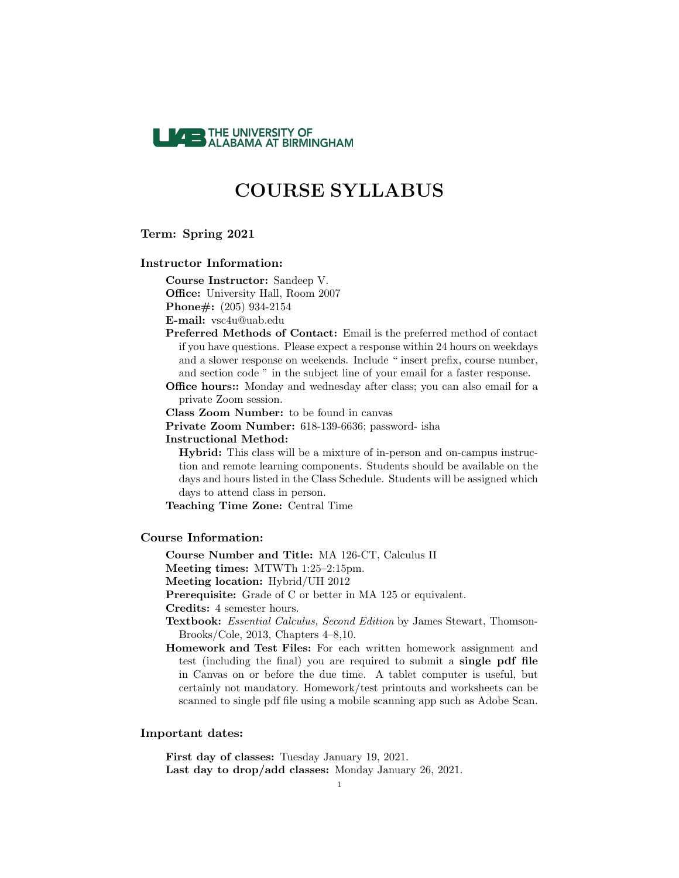

#### Term: Spring 2021

### Instructor Information:

Course Instructor: Sandeep V. Office: University Hall, Room 2007 Phone#: (205) 934-2154

E-mail: vsc4u@uab.edu

Preferred Methods of Contact: Email is the preferred method of contact if you have questions. Please expect a response within 24 hours on weekdays and a slower response on weekends. Include " insert prefix, course number, and section code " in the subject line of your email for a faster response.

Office hours:: Monday and wednesday after class; you can also email for a private Zoom session.

Class Zoom Number: to be found in canvas

Private Zoom Number: 618-139-6636; password- isha

### Instructional Method:

Hybrid: This class will be a mixture of in-person and on-campus instruction and remote learning components. Students should be available on the days and hours listed in the Class Schedule. Students will be assigned which days to attend class in person.

Teaching Time Zone: Central Time

### Course Information:

Course Number and Title: MA 126-CT, Calculus II

Meeting times: MTWTh 1:25–2:15pm.

Meeting location: Hybrid/UH 2012

Prerequisite: Grade of C or better in MA 125 or equivalent.

Credits: 4 semester hours.

Textbook: Essential Calculus, Second Edition by James Stewart, Thomson-Brooks/Cole, 2013, Chapters 4–8,10.

Homework and Test Files: For each written homework assignment and test (including the final) you are required to submit a single pdf file in Canvas on or before the due time. A tablet computer is useful, but certainly not mandatory. Homework/test printouts and worksheets can be scanned to single pdf file using a mobile scanning app such as Adobe Scan.

#### Important dates:

First day of classes: Tuesday January 19, 2021. Last day to drop/add classes: Monday January 26, 2021.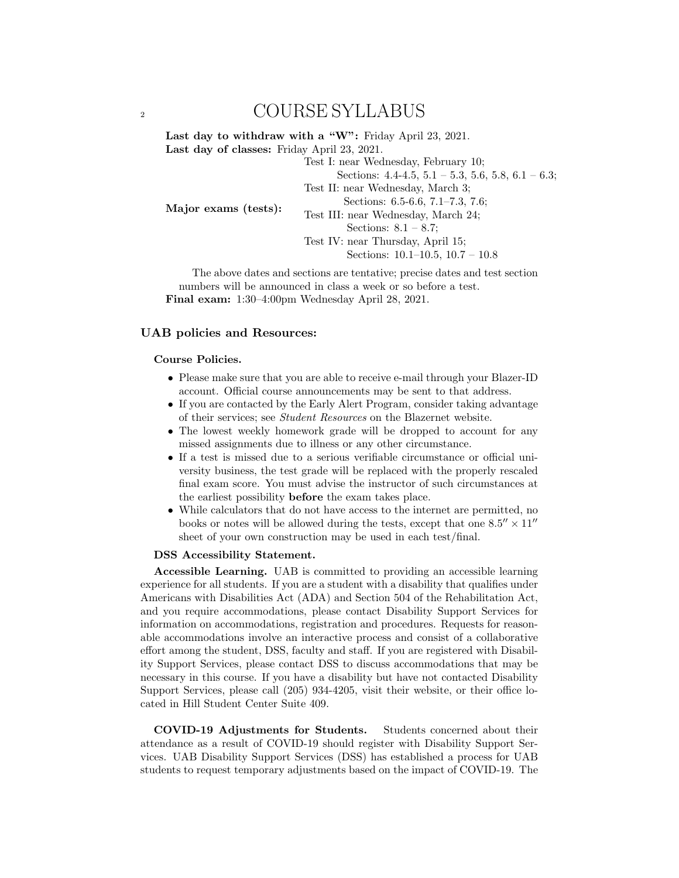Last day to withdraw with a "W": Friday April 23, 2021. Last day of classes: Friday April 23, 2021.

Test I: near Wednesday, February 10; Sections:  $4.4-4.5$ ,  $5.1-5.3$ ,  $5.6$ ,  $5.8$ ,  $6.1-6.3$ ; Test II: near Wednesday, March 3; Sections: 6.5-6.6, 7.1–7.3, 7.6; Test III: near Wednesday, March 24; Sections:  $8.1 - 8.7$ ; Test IV: near Thursday, April 15; Sections: 10.1–10.5, 10.7 – 10.8

The above dates and sections are tentative; precise dates and test section numbers will be announced in class a week or so before a test. Final exam: 1:30–4:00pm Wednesday April 28, 2021.

### UAB policies and Resources:

Major exams (tests):

### Course Policies.

- Please make sure that you are able to receive e-mail through your Blazer-ID account. Official course announcements may be sent to that address.
- If you are contacted by the Early Alert Program, consider taking advantage of their services; see Student Resources on the Blazernet website.
- The lowest weekly homework grade will be dropped to account for any missed assignments due to illness or any other circumstance.
- If a test is missed due to a serious verifiable circumstance or official university business, the test grade will be replaced with the properly rescaled final exam score. You must advise the instructor of such circumstances at the earliest possibility before the exam takes place.
- While calculators that do not have access to the internet are permitted, no books or notes will be allowed during the tests, except that one  $8.5'' \times 11''$ sheet of your own construction may be used in each test/final.

### DSS Accessibility Statement.

Accessible Learning. UAB is committed to providing an accessible learning experience for all students. If you are a student with a disability that qualifies under Americans with Disabilities Act (ADA) and Section 504 of the Rehabilitation Act, and you require accommodations, please contact Disability Support Services for information on accommodations, registration and procedures. Requests for reasonable accommodations involve an interactive process and consist of a collaborative effort among the student, DSS, faculty and staff. If you are registered with Disability Support Services, please contact DSS to discuss accommodations that may be necessary in this course. If you have a disability but have not contacted Disability Support Services, please call (205) 934-4205, visit their website, or their office located in Hill Student Center Suite 409.

COVID-19 Adjustments for Students. Students concerned about their attendance as a result of COVID-19 should register with Disability Support Services. UAB Disability Support Services (DSS) has established a process for UAB students to request temporary adjustments based on the impact of COVID-19. The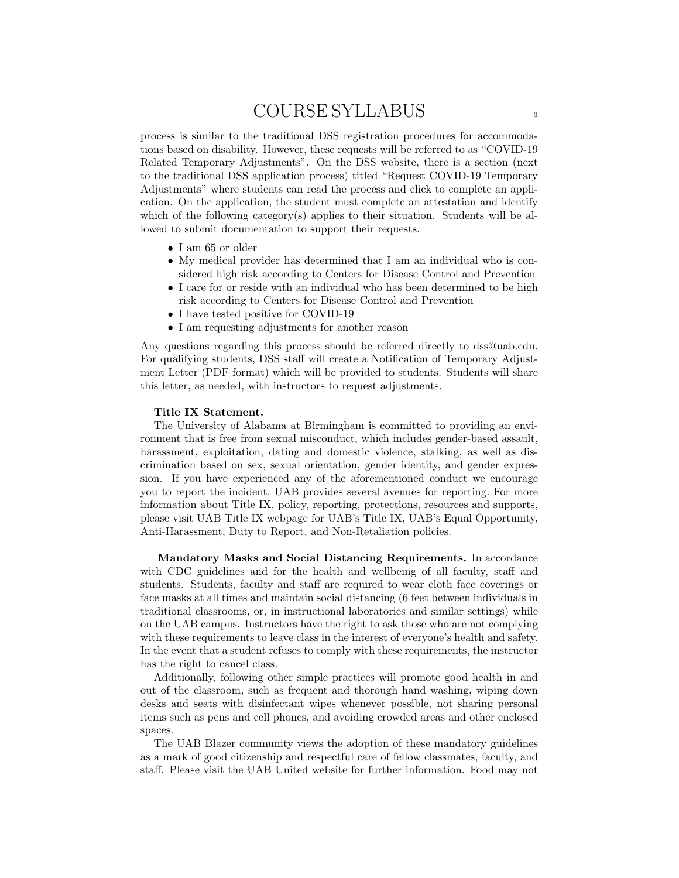process is similar to the traditional DSS registration procedures for accommodations based on disability. However, these requests will be referred to as "COVID-19 Related Temporary Adjustments". On the DSS website, there is a section (next to the traditional DSS application process) titled "Request COVID-19 Temporary Adjustments" where students can read the process and click to complete an application. On the application, the student must complete an attestation and identify which of the following category(s) applies to their situation. Students will be allowed to submit documentation to support their requests.

- I am 65 or older
- My medical provider has determined that I am an individual who is considered high risk according to Centers for Disease Control and Prevention
- I care for or reside with an individual who has been determined to be high risk according to Centers for Disease Control and Prevention
- I have tested positive for COVID-19
- I am requesting adjustments for another reason

Any questions regarding this process should be referred directly to dss@uab.edu. For qualifying students, DSS staff will create a Notification of Temporary Adjustment Letter (PDF format) which will be provided to students. Students will share this letter, as needed, with instructors to request adjustments.

#### Title IX Statement.

The University of Alabama at Birmingham is committed to providing an environment that is free from sexual misconduct, which includes gender-based assault, harassment, exploitation, dating and domestic violence, stalking, as well as discrimination based on sex, sexual orientation, gender identity, and gender expression. If you have experienced any of the aforementioned conduct we encourage you to report the incident. UAB provides several avenues for reporting. For more information about Title IX, policy, reporting, protections, resources and supports, please visit UAB Title IX webpage for UAB's Title IX, UAB's Equal Opportunity, Anti-Harassment, Duty to Report, and Non-Retaliation policies.

Mandatory Masks and Social Distancing Requirements. In accordance with CDC guidelines and for the health and wellbeing of all faculty, staff and students. Students, faculty and staff are required to wear cloth face coverings or face masks at all times and maintain social distancing (6 feet between individuals in traditional classrooms, or, in instructional laboratories and similar settings) while on the UAB campus. Instructors have the right to ask those who are not complying with these requirements to leave class in the interest of everyone's health and safety. In the event that a student refuses to comply with these requirements, the instructor has the right to cancel class.

Additionally, following other simple practices will promote good health in and out of the classroom, such as frequent and thorough hand washing, wiping down desks and seats with disinfectant wipes whenever possible, not sharing personal items such as pens and cell phones, and avoiding crowded areas and other enclosed spaces.

The UAB Blazer community views the adoption of these mandatory guidelines as a mark of good citizenship and respectful care of fellow classmates, faculty, and staff. Please visit the UAB United website for further information. Food may not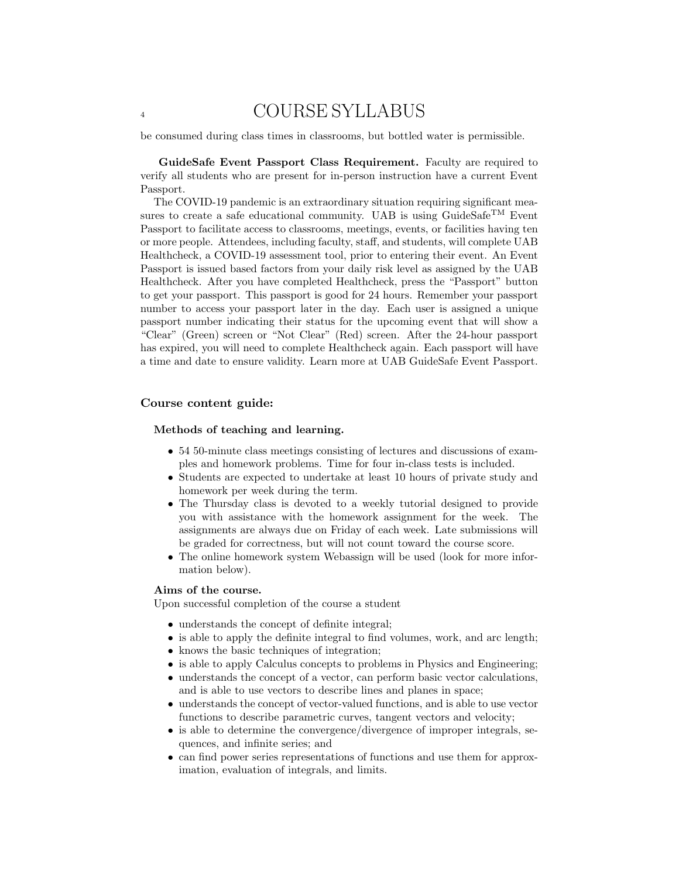be consumed during class times in classrooms, but bottled water is permissible.

GuideSafe Event Passport Class Requirement. Faculty are required to verify all students who are present for in-person instruction have a current Event Passport.

The COVID-19 pandemic is an extraordinary situation requiring significant measures to create a safe educational community. UAB is using GuideSafe<sup>TM</sup> Event Passport to facilitate access to classrooms, meetings, events, or facilities having ten or more people. Attendees, including faculty, staff, and students, will complete UAB Healthcheck, a COVID-19 assessment tool, prior to entering their event. An Event Passport is issued based factors from your daily risk level as assigned by the UAB Healthcheck. After you have completed Healthcheck, press the "Passport" button to get your passport. This passport is good for 24 hours. Remember your passport number to access your passport later in the day. Each user is assigned a unique passport number indicating their status for the upcoming event that will show a "Clear" (Green) screen or "Not Clear" (Red) screen. After the 24-hour passport has expired, you will need to complete Healthcheck again. Each passport will have a time and date to ensure validity. Learn more at UAB GuideSafe Event Passport.

### Course content guide:

### Methods of teaching and learning.

- 54 50-minute class meetings consisting of lectures and discussions of examples and homework problems. Time for four in-class tests is included.
- Students are expected to undertake at least 10 hours of private study and homework per week during the term.
- The Thursday class is devoted to a weekly tutorial designed to provide you with assistance with the homework assignment for the week. The assignments are always due on Friday of each week. Late submissions will be graded for correctness, but will not count toward the course score.
- The online homework system Webassign will be used (look for more information below).

### Aims of the course.

Upon successful completion of the course a student

- understands the concept of definite integral;
- is able to apply the definite integral to find volumes, work, and arc length;
- knows the basic techniques of integration;
- is able to apply Calculus concepts to problems in Physics and Engineering;
- understands the concept of a vector, can perform basic vector calculations, and is able to use vectors to describe lines and planes in space;
- understands the concept of vector-valued functions, and is able to use vector functions to describe parametric curves, tangent vectors and velocity;
- is able to determine the convergence/divergence of improper integrals, sequences, and infinite series; and
- can find power series representations of functions and use them for approximation, evaluation of integrals, and limits.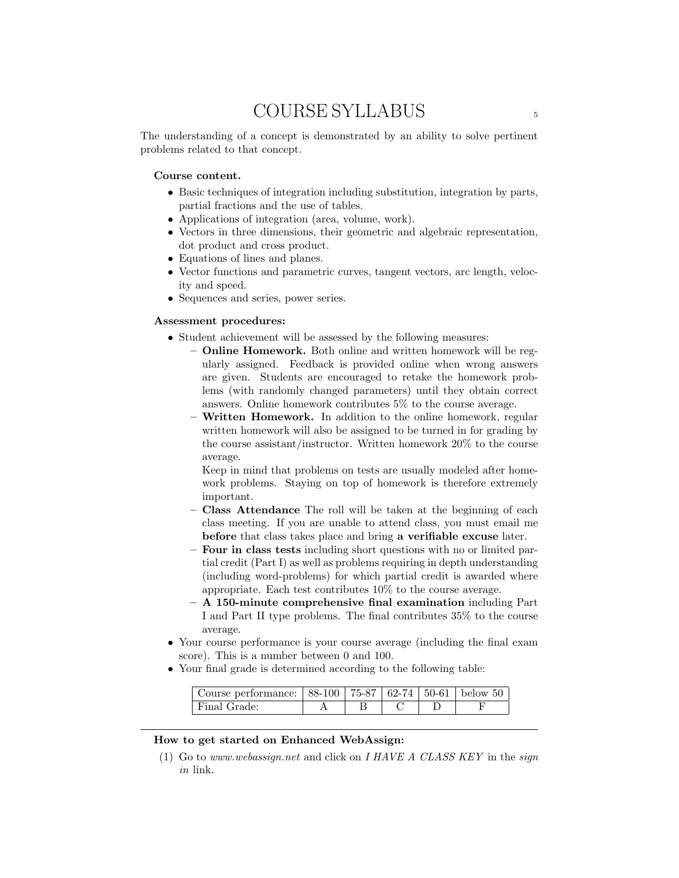The understanding of a concept is demonstrated by an ability to solve pertinent problems related to that concept.

### Course content.

- Basic techniques of integration including substitution, integration by parts, partial fractions and the use of tables.
- Applications of integration (area, volume, work).
- Vectors in three dimensions, their geometric and algebraic representation, dot product and cross product.
- Equations of lines and planes.
- Vector functions and parametric curves, tangent vectors, arc length, velocity and speed.
- Sequences and series, power series.

### Assessment procedures:

- Student achievement will be assessed by the following measures:
	- Online Homework. Both online and written homework will be regularly assigned. Feedback is provided online when wrong answers are given. Students are encouraged to retake the homework problems (with randomly changed parameters) until they obtain correct answers. Online homework contributes 5% to the course average.
	- Written Homework. In addition to the online homework, regular written homework will also be assigned to be turned in for grading by the course assistant/instructor. Written homework 20% to the course average.

Keep in mind that problems on tests are usually modeled after homework problems. Staying on top of homework is therefore extremely important.

- Class Attendance The roll will be taken at the beginning of each class meeting. If you are unable to attend class, you must email me before that class takes place and bring a verifiable excuse later.
- Four in class tests including short questions with no or limited partial credit (Part I) as well as problems requiring in depth understanding (including word-problems) for which partial credit is awarded where appropriate. Each test contributes 10% to the course average.
- A 150-minute comprehensive final examination including Part I and Part II type problems. The final contributes 35% to the course average.
- Your course performance is your course average (including the final exam score). This is a number between 0 and 100.
- Your final grade is determined according to the following table:

| Course performance: $  88-100   75-87   62-74   50-61  $ below 50 |  |  |  |
|-------------------------------------------------------------------|--|--|--|
| Final Grade:                                                      |  |  |  |

### How to get started on Enhanced WebAssign:

(1) Go to www.webassign.net and click on I HAVE A CLASS KEY in the sign in link.